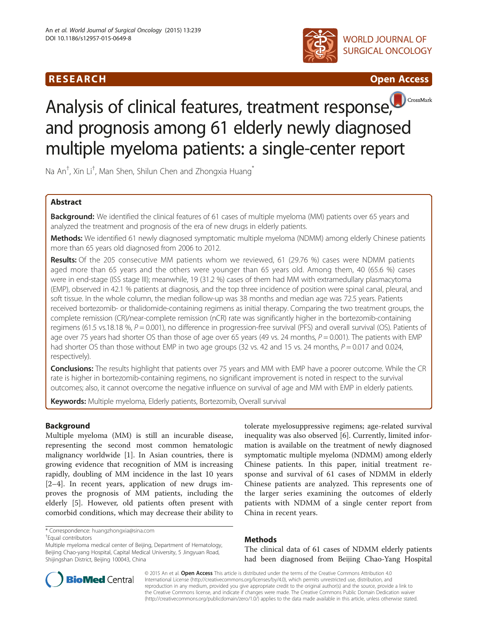





# Analysis of clinical features, treatment respons[e,](http://crossmark.crossref.org/dialog/?doi=10.1186/s12957-015-0649-8&domain=pdf) and prognosis among 61 elderly newly diagnosed multiple myeloma patients: a single-center report

Na An $^\dagger$ , Xin Li $^\dagger$ , Man Shen, Shilun Chen and Zhongxia Huang $^*$ 

# Abstract

Background: We identified the clinical features of 61 cases of multiple myeloma (MM) patients over 65 years and analyzed the treatment and prognosis of the era of new drugs in elderly patients.

Methods: We identified 61 newly diagnosed symptomatic multiple myeloma (NDMM) among elderly Chinese patients more than 65 years old diagnosed from 2006 to 2012.

Results: Of the 205 consecutive MM patients whom we reviewed, 61 (29.76 %) cases were NDMM patients aged more than 65 years and the others were younger than 65 years old. Among them, 40 (65.6 %) cases were in end-stage (ISS stage III); meanwhile, 19 (31.2 %) cases of them had MM with extramedullary plasmacytoma (EMP), observed in 42.1 % patients at diagnosis, and the top three incidence of position were spinal canal, pleural, and soft tissue. In the whole column, the median follow-up was 38 months and median age was 72.5 years. Patients received bortezomib- or thalidomide-containing regimens as initial therapy. Comparing the two treatment groups, the complete remission (CR)/near-complete remission (nCR) rate was significantly higher in the bortezomib-containing regimens (61.5 vs.18.18 %,  $P = 0.001$ ), no difference in progression-free survival (PFS) and overall survival (OS). Patients of age over 75 years had shorter OS than those of age over 65 years (49 vs. 24 months,  $P = 0.001$ ). The patients with EMP had shorter OS than those without EMP in two age groups (32 vs. 42 and 15 vs. 24 months,  $P = 0.017$  and 0.024, respectively).

Conclusions: The results highlight that patients over 75 years and MM with EMP have a poorer outcome. While the CR rate is higher in bortezomib-containing regimens, no significant improvement is noted in respect to the survival outcomes; also, it cannot overcome the negative influence on survival of age and MM with EMP in elderly patients.

Keywords: Multiple myeloma, Elderly patients, Bortezomib, Overall survival

# Background

Multiple myeloma (MM) is still an incurable disease, representing the second most common hematologic malignancy worldwide [[1\]](#page-5-0). In Asian countries, there is growing evidence that recognition of MM is increasing rapidly, doubling of MM incidence in the last 10 years [[2](#page-5-0)–[4\]](#page-5-0). In recent years, application of new drugs improves the prognosis of MM patients, including the elderly [[5\]](#page-5-0). However, old patients often present with comorbid conditions, which may decrease their ability to

\* Correspondence: [huangzhongxia@sina.com](mailto:huangzhongxia@sina.com) †

Equal contributors

tolerate myelosuppressive regimens; age-related survival inequality was also observed [[6\]](#page-5-0). Currently, limited information is available on the treatment of newly diagnosed symptomatic multiple myeloma (NDMM) among elderly Chinese patients. In this paper, initial treatment response and survival of 61 cases of NDMM in elderly Chinese patients are analyzed. This represents one of the larger series examining the outcomes of elderly patients with NDMM of a single center report from China in recent years.

# Methods

The clinical data of 61 cases of NDMM elderly patients had been diagnosed from Beijing Chao-Yang Hospital



© 2015 An et al. Open Access This article is distributed under the terms of the Creative Commons Attribution 4.0 International License [\(http://creativecommons.org/licenses/by/4.0\)](http://creativecommons.org/licenses/by/4.0), which permits unrestricted use, distribution, and reproduction in any medium, provided you give appropriate credit to the original author(s) and the source, provide a link to the Creative Commons license, and indicate if changes were made. The Creative Commons Public Domain Dedication waiver [\(http://creativecommons.org/publicdomain/zero/1.0/](http://creativecommons.org/publicdomain/zero/1.0/)) applies to the data made available in this article, unless otherwise stated.

Multiple myeloma medical center of Beijing, Department of Hematology, Beijing Chao-yang Hospital, Capital Medical University, 5 Jingyuan Road, Shijingshan District, Beijing 100043, China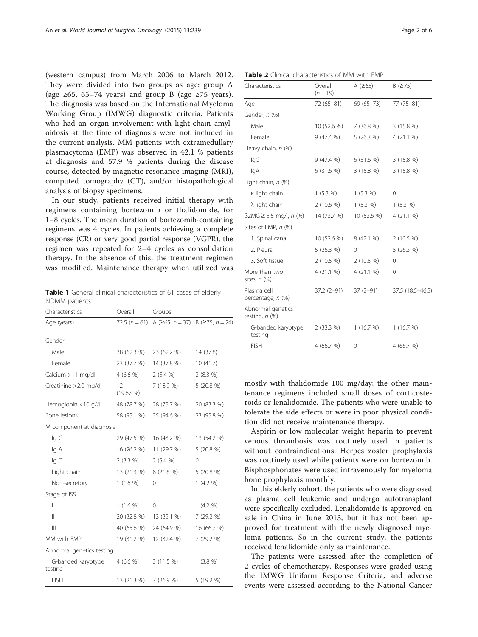<span id="page-1-0"></span>(western campus) from March 2006 to March 2012. They were divided into two groups as age: group A (age  $\geq 65$ , 65–74 years) and group B (age  $\geq 75$  years). The diagnosis was based on the International Myeloma Working Group (IMWG) diagnostic criteria. Patients who had an organ involvement with light-chain amyloidosis at the time of diagnosis were not included in the current analysis. MM patients with extramedullary plasmacytoma (EMP) was observed in 42.1 % patients at diagnosis and 57.9 % patients during the disease course, detected by magnetic resonance imaging (MRI), computed tomography (CT), and/or histopathological analysis of biopsy specimens.

In our study, patients received initial therapy with regimens containing bortezomib or thalidomide, for 1–8 cycles. The mean duration of bortezomib-containing regimens was 4 cycles. In patients achieving a complete response (CR) or very good partial response (VGPR), the regimen was repeated for 2–4 cycles as consolidation therapy. In the absence of this, the treatment regimen was modified. Maintenance therapy when utilized was

Table 1 General clinical characteristics of 61 cases of elderly NDMM patients

| Characteristics               | Overall        | Groups                                                              |             |
|-------------------------------|----------------|---------------------------------------------------------------------|-------------|
| Age (years)                   |                | 72.5 $(n = 61)$ A ( $\ge 65$ , $n = 37$ ) B ( $\ge 75$ , $n = 24$ ) |             |
| Gender                        |                |                                                                     |             |
| Male                          | 38 (62.3 %)    | 23 (62.2 %)                                                         | 14 (37.8)   |
|                               |                |                                                                     |             |
| Female                        | 23 (37.7 %)    | 14 (37.8 %)                                                         | 10(41.7)    |
| Calcium >11 mg/dl             | 4(6.6%         | $2(5.4\%)$                                                          | 2(8.3%)     |
| Creatinine > 2.0 mg/dl        | 12<br>(19.67%) | 7 (18.9 %)                                                          | $5(20.8\%)$ |
| Hemoglobin <10 g//L           | 48 (78.7 %)    | 28 (75.7 %)                                                         | 20 (83.3 %) |
| Bone lesions                  | 58 (95.1 %)    | 35 (94.6 %)                                                         | 23 (95.8 %) |
| M component at diagnosis      |                |                                                                     |             |
| lg G                          | 29 (47.5 %)    | 16 (43.2 %)                                                         | 13 (54.2 %) |
| lg A                          | 16 (26.2 %)    | 11 (29.7 %)                                                         | 5(20.8%)    |
| lg D                          | $2(3.3\%)$     | 2(5.4%                                                              | 0           |
| Light chain                   | 13 (21.3 %)    | 8 (21.6 %)                                                          | 5(20.8%)    |
| Non-secretory                 | $1(1.6\%)$     | 0                                                                   | $1(4.2\% )$ |
| Stage of ISS                  |                |                                                                     |             |
| I                             | $1(1.6\%)$     | 0                                                                   | 1(4.2%      |
| $\mathsf{II}$                 | 20 (32.8 %)    | 13 (35.1 %)                                                         | 7 (29.2 %)  |
| $\mathbb{H}$                  | 40 (65.6 %)    | 24 (64.9 %)                                                         | 16 (66.7 %) |
| MM with EMP                   | 19 (31.2 %)    | 12 (32.4 %)                                                         | 7 (29.2 %)  |
| Abnormal genetics testing     |                |                                                                     |             |
| G-banded karyotype<br>testing | 4(6.6%         | 3(11.5%)                                                            | $1(3.8\%)$  |
| <b>FISH</b>                   | 13 (21.3 %)    | 7(26.9%)                                                            | 5 (19.2 %)  |

| <b>Table 2</b> Clinical characteristics of MM with EMP |                       |               |                  |  |
|--------------------------------------------------------|-----------------------|---------------|------------------|--|
| Characteristics                                        | Overall<br>$(n = 19)$ | A $(≥65)$     | B (275)          |  |
| Age                                                    | $72(65 - 81)$         | $69(65 - 73)$ | 77 (75-81)       |  |
| Gender, n (%)                                          |                       |               |                  |  |
| Male                                                   | 10 (52.6 %)           | 7(36.8%)      | 3(15.8%)         |  |
| Female                                                 | 9(47.4%               | 5(26.3%)      | 4(21.1%          |  |
| Heavy chain, n (%)                                     |                       |               |                  |  |
| lgG                                                    | 9(47.4%               | 6(31.6%)      | 3(15.8%)         |  |
| lgA                                                    | 6(31.6%)              | 3(15.8%)      | 3(15.8%)         |  |
| Light chain, n (%)                                     |                       |               |                  |  |
| κ light chain                                          | $1(5.3\%)$            | 1(5.3%)       | 0                |  |
| λ light chain                                          | $2(10.6\%)$           | $1(5.3\%)$    | $1(5.3\%)$       |  |
| $\beta$ 2MG $\geq$ 5.5 mg/l, n (%)                     | 14 (73.7 %)           | 10 (52.6 %)   | 4(21.1%          |  |
| Sites of EMP, n (%)                                    |                       |               |                  |  |
| 1. Spinal canal                                        | 10 (52.6 %)           | 8(42.1%       | $2(10.5\%)$      |  |
| 2. Pleura                                              | 5(26.3%)              | 0             | 5(26.3%)         |  |
| 3. Soft tissue                                         | $2(10.5\%)$           | $2(10.5\%)$   | $\Omega$         |  |
| More than two<br>sites, $n$ $(\%)$                     | 4(21.1%               | 4 (21.1 %)    | $\Omega$         |  |
| Plasma cell<br>percentage, n (%)                       | $37.2(2-91)$          | $37(2-91)$    | 37.5 (18.5-46.5) |  |
| Abnormal genetics<br>testing, $n$ (%)                  |                       |               |                  |  |
| G-banded karyotype<br>testing                          | $2(33.3\%)$           | 1(16.7%)      | 1(16.7%)         |  |
| <b>FISH</b>                                            | 4 (66.7 %)            | 0             | 4 (66.7 %)       |  |

mostly with thalidomide 100 mg/day; the other maintenance regimens included small doses of corticosteroids or lenalidomide. The patients who were unable to tolerate the side effects or were in poor physical condition did not receive maintenance therapy.

Aspirin or low molecular weight heparin to prevent venous thrombosis was routinely used in patients without contraindications. Herpes zoster prophylaxis was routinely used while patients were on bortezomib. Bisphosphonates were used intravenously for myeloma bone prophylaxis monthly.

In this elderly cohort, the patients who were diagnosed as plasma cell leukemic and undergo autotransplant were specifically excluded. Lenalidomide is approved on sale in China in June 2013, but it has not been approved for treatment with the newly diagnosed myeloma patients. So in the current study, the patients received lenalidomide only as maintenance.

The patients were assessed after the completion of 2 cycles of chemotherapy. Responses were graded using the IMWG Uniform Response Criteria, and adverse events were assessed according to the National Cancer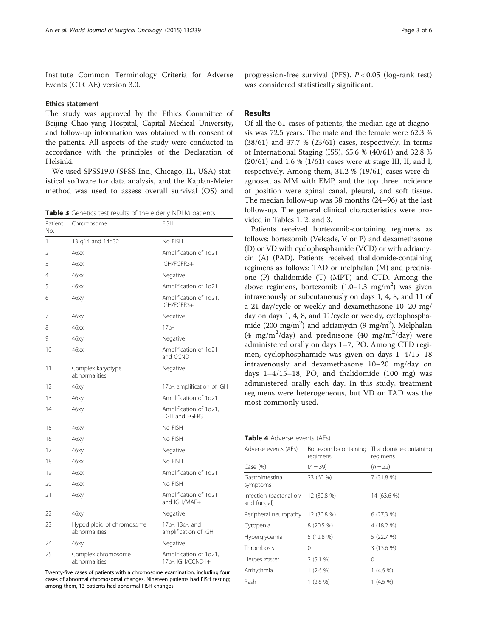<span id="page-2-0"></span>Institute Common Terminology Criteria for Adverse Events (CTCAE) version 3.0.

## Ethics statement

The study was approved by the Ethics Committee of Beijing Chao-yang Hospital, Capital Medical University, and follow-up information was obtained with consent of the patients. All aspects of the study were conducted in accordance with the principles of the Declaration of Helsinki.

We used SPSS19.0 (SPSS Inc., Chicago, IL, USA) statistical software for data analysis, and the Kaplan-Meier method was used to assess overall survival (OS) and

Table 3 Genetics test results of the elderly NDLM patients

| Patient<br>No. | Chromosome                                 | <b>FISH</b>                                |
|----------------|--------------------------------------------|--------------------------------------------|
| 1              | 13 g14 and 14g32                           | No FISH                                    |
| 2              | 46xx                                       | Amplification of 1q21                      |
| 3              | 46xx                                       | IGH/FGFR3+                                 |
| 4              | 46xx                                       | Negative                                   |
| 5              | 46xx                                       | Amplification of 1q21                      |
| 6              | 46xy                                       | Amplification of 1q21,<br>IGH/FGFR3+       |
| 7              | 46xy                                       | Negative                                   |
| 8              | 46xx                                       | $17p-$                                     |
| 9              | 46xy                                       | Negative                                   |
| 10             | 46xx                                       | Amplification of 1q21<br>and CCND1         |
| 11             | Complex karyotype<br>abnormalities         | Negative                                   |
| 12             | 46xy                                       | 17p-, amplification of IGH                 |
| 13             | 46xy                                       | Amplification of 1q21                      |
| 14             | 46xy                                       | Amplification of 1q21,<br>I GH and FGFR3   |
| 15             | 46xy                                       | No FISH                                    |
| 16             | 46xy                                       | No FISH                                    |
| 17             | 46ху                                       | Negative                                   |
| 18             | 46xx                                       | No FISH                                    |
| 19             | 46xx                                       | Amplification of 1q21                      |
| 20             | 46xx                                       | No FISH                                    |
| 21             | 46xy                                       | Amplification of 1q21<br>and IGH/MAF+      |
| 22             | 46ху                                       | Negative                                   |
| 23             | Hypodiploid of chromosome<br>abnormalities | 17p-, 13q-, and<br>amplification of IGH    |
| 24             | 46xy                                       | Negative                                   |
| 25             | Complex chromosome<br>abnormalities        | Amplification of 1q21,<br>17p-, IGH/CCND1+ |

Twenty-five cases of patients with a chromosome examination, including four cases of abnormal chromosomal changes. Nineteen patients had FISH testing; among them, 13 patients had abnormal FISH changes

progression-free survival (PFS).  $P < 0.05$  (log-rank test) was considered statistically significant.

## Results

Of all the 61 cases of patients, the median age at diagnosis was 72.5 years. The male and the female were 62.3 % (38/61) and 37.7 % (23/61) cases, respectively. In terms of International Staging (ISS), 65.6 % (40/61) and 32.8 % (20/61) and 1.6 % (1/61) cases were at stage III, II, and I, respectively. Among them, 31.2 % (19/61) cases were diagnosed as MM with EMP, and the top three incidence of position were spinal canal, pleural, and soft tissue. The median follow-up was 38 months (24–96) at the last follow-up. The general clinical characteristics were provided in Tables [1](#page-1-0), [2](#page-1-0), and 3.

Patients received bortezomib-containing regimens as follows: bortezomib (Velcade, V or P) and dexamethasone (D) or VD with cyclophosphamide (VCD) or with adriamycin (A) (PAD). Patients received thalidomide-containing regimens as follows: TAD or melphalan (M) and prednisone (P) thalidomide (T) (MPT) and CTD. Among the above regimens, bortezomib  $(1.0-1.3 \text{ mg/m}^2)$  was given intravenously or subcutaneously on days 1, 4, 8, and 11 of a 21-day/cycle or weekly and dexamethasone 10–20 mg/ day on days 1, 4, 8, and 11/cycle or weekly, cyclophosphamide (200 mg/m<sup>2</sup>) and adriamycin (9 mg/m<sup>2</sup>). Melphalan (4 mg/m<sup>2</sup>/day) and prednisone (40 mg/m<sup>2</sup>/day) were administered orally on days 1–7, PO. Among CTD regimen, cyclophosphamide was given on days 1–4/15–18 intravenously and dexamethasone 10–20 mg/day on days 1–4/15–18, PO, and thalidomide (100 mg) was administered orally each day. In this study, treatment regimens were heterogeneous, but VD or TAD was the most commonly used.

|  |  | <b>Table 4</b> Adverse events (AEs) |  |  |
|--|--|-------------------------------------|--|--|
|--|--|-------------------------------------|--|--|

| Adverse events (AEs)                                | Bortezomib-containing<br>regimens | Thalidomide-containing<br>regimens |  |
|-----------------------------------------------------|-----------------------------------|------------------------------------|--|
| Case $(\%)$                                         | $(n = 39)$                        | $(n = 22)$                         |  |
| Gastrointestinal<br>symptoms                        | 23 (60 %)                         | 7(31.8%)                           |  |
| Infection (bacterial or/ 12 (30.8 %)<br>and fungal) |                                   | 14 (63.6 %)                        |  |
| Peripheral neuropathy                               | 12 (30.8 %)                       | 6(27.3%)                           |  |
| Cytopenia                                           | $8(20.5\%)$                       | 4 (18.2 %)                         |  |
| Hyperglycemia                                       | 5 (12.8 %)                        | 5 (22.7 %)                         |  |
| Thrombosis                                          | 0                                 | $3(13.6\%)$                        |  |
| Herpes zoster                                       | 2(5.1%                            | 0                                  |  |
| Arrhythmia                                          | 1 (2.6 %)                         | $1(4.6\%)$                         |  |
| Rash                                                | 1 (2.6 %)                         | $1(4.6\%)$                         |  |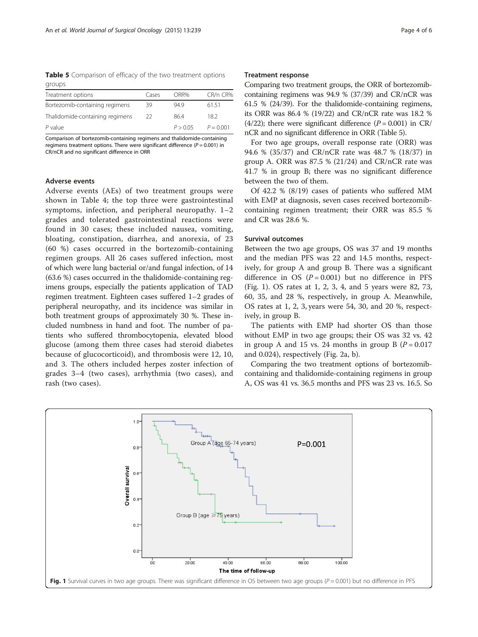Table 5 Comparison of efficacy of the two treatment options groups

| Treatment options               | Cases | ORR%     | CR/n CR%    |
|---------------------------------|-------|----------|-------------|
| Bortezomib-containing regimens  | 39    | 94.9     | 61.51       |
| Thalidomide-containing regimens | 22    | 864      | 182         |
| $P$ value                       |       | P > 0.05 | $P = 0.001$ |

Comparison of bortezomib-containing regimens and thalidomide-containing regimens treatment options. There were significant difference ( $P = 0.001$ ) in CR/nCR and no significant difference in ORR

## Adverse events

Adverse events (AEs) of two treatment groups were shown in Table [4](#page-2-0); the top three were gastrointestinal symptoms, infection, and peripheral neuropathy. 1–2 grades and tolerated gastrointestinal reactions were found in 30 cases; these included nausea, vomiting, bloating, constipation, diarrhea, and anorexia, of 23 (60 %) cases occurred in the bortezomib-containing regimen groups. All 26 cases suffered infection, most of which were lung bacterial or/and fungal infection, of 14 (63.6 %) cases occurred in the thalidomide-containing regimens groups, especially the patients application of TAD regimen treatment. Eighteen cases suffered 1–2 grades of peripheral neuropathy, and its incidence was similar in both treatment groups of approximately 30 %. These included numbness in hand and foot. The number of patients who suffered thrombocytopenia, elevated blood glucose (among them three cases had steroid diabetes because of glucocorticoid), and thrombosis were 12, 10, and 3. The others included herpes zoster infection of grades 3–4 (two cases), arrhythmia (two cases), and rash (two cases).

### Treatment response

Comparing two treatment groups, the ORR of bortezomibcontaining regimens was 94.9 % (37/39) and CR/nCR was 61.5 % (24/39). For the thalidomide-containing regimens, its ORR was 86.4 % (19/22) and CR/nCR rate was 18.2 %  $(4/22)$ ; there were significant difference  $(P = 0.001)$  in CR/ nCR and no significant difference in ORR (Table 5).

For two age groups, overall response rate (ORR) was 94.6 % (35/37) and CR/nCR rate was 48.7 % (18/37) in group A. ORR was 87.5 % (21/24) and CR/nCR rate was 41.7 % in group B; there was no significant difference between the two of them.

Of 42.2 % (8/19) cases of patients who suffered MM with EMP at diagnosis, seven cases received bortezomibcontaining regimen treatment; their ORR was 85.5 % and CR was 28.6 %.

## Survival outcomes

Between the two age groups, OS was 37 and 19 months and the median PFS was 22 and 14.5 months, respectively, for group A and group B. There was a significant difference in OS  $(P = 0.001)$  but no difference in PFS (Fig. 1). OS rates at 1, 2, 3, 4, and 5 years were 82, 73, 60, 35, and 28 %, respectively, in group A. Meanwhile, OS rates at 1, 2, 3, years were 54, 30, and 20 %, respectively, in group B.

The patients with EMP had shorter OS than those without EMP in two age groups; their OS was 32 vs. 42 in group A and 15 vs. 24 months in group B  $(P = 0.017)$ and 0.024), respectively (Fig. [2a, b\)](#page-4-0).

Comparing the two treatment options of bortezomibcontaining and thalidomide-containing regimens in group A, OS was 41 vs. 36.5 months and PFS was 23 vs. 16.5. So

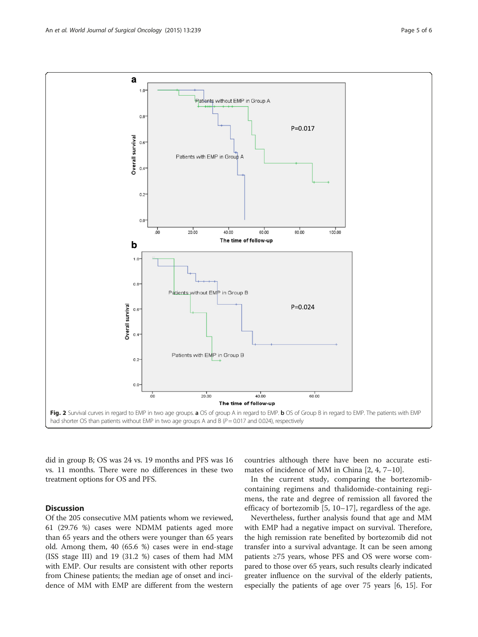<span id="page-4-0"></span>

did in group B; OS was 24 vs. 19 months and PFS was 16 vs. 11 months. There were no differences in these two treatment options for OS and PFS.

## Discussion

Of the 205 consecutive MM patients whom we reviewed, 61 (29.76 %) cases were NDMM patients aged more than 65 years and the others were younger than 65 years old. Among them, 40 (65.6 %) cases were in end-stage (ISS stage III) and 19 (31.2 %) cases of them had MM with EMP. Our results are consistent with other reports from Chinese patients; the median age of onset and incidence of MM with EMP are different from the western

countries although there have been no accurate estimates of incidence of MM in China [[2, 4, 7](#page-5-0)–[10](#page-5-0)].

In the current study, comparing the bortezomibcontaining regimens and thalidomide-containing regimens, the rate and degree of remission all favored the efficacy of bortezomib [[5](#page-5-0), [10](#page-5-0)–[17](#page-5-0)], regardless of the age.

Nevertheless, further analysis found that age and MM with EMP had a negative impact on survival. Therefore, the high remission rate benefited by bortezomib did not transfer into a survival advantage. It can be seen among patients ≥75 years, whose PFS and OS were worse compared to those over 65 years, such results clearly indicated greater influence on the survival of the elderly patients, especially the patients of age over 75 years [\[6](#page-5-0), [15](#page-5-0)]. For